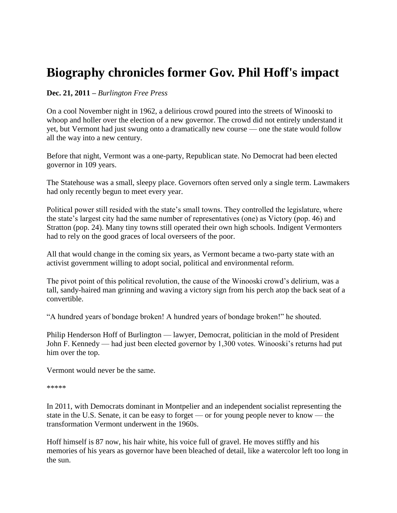# **Biography chronicles former Gov. Phil Hoff's impact**

## **Dec. 21, 2011 –** *Burlington Free Press*

On a cool November night in 1962, a delirious crowd poured into the streets of Winooski to whoop and holler over the election of a new governor. The crowd did not entirely understand it yet, but Vermont had just swung onto a dramatically new course — one the state would follow all the way into a new century.

Before that night, Vermont was a one-party, Republican state. No Democrat had been elected governor in 109 years.

The Statehouse was a small, sleepy place. Governors often served only a single term. Lawmakers had only recently begun to meet every year.

Political power still resided with the state"s small towns. They controlled the legislature, where the state"s largest city had the same number of representatives (one) as Victory (pop. 46) and Stratton (pop. 24). Many tiny towns still operated their own high schools. Indigent Vermonters had to rely on the good graces of local overseers of the poor.

All that would change in the coming six years, as Vermont became a two-party state with an activist government willing to adopt social, political and environmental reform.

The pivot point of this political revolution, the cause of the Winooski crowd"s delirium, was a tall, sandy-haired man grinning and waving a victory sign from his perch atop the back seat of a convertible.

"A hundred years of bondage broken! A hundred years of bondage broken!" he shouted.

Philip Henderson Hoff of Burlington — lawyer, Democrat, politician in the mold of President John F. Kennedy — had just been elected governor by 1,300 votes. Winooski's returns had put him over the top.

Vermont would never be the same.

```
*****
```
In 2011, with Democrats dominant in Montpelier and an independent socialist representing the state in the U.S. Senate, it can be easy to forget — or for young people never to know — the transformation Vermont underwent in the 1960s.

Hoff himself is 87 now, his hair white, his voice full of gravel. He moves stiffly and his memories of his years as governor have been bleached of detail, like a watercolor left too long in the sun.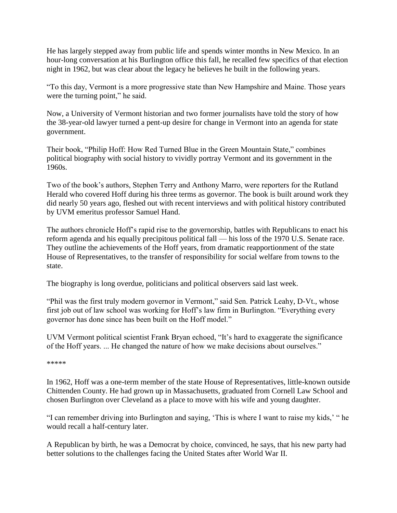He has largely stepped away from public life and spends winter months in New Mexico. In an hour-long conversation at his Burlington office this fall, he recalled few specifics of that election night in 1962, but was clear about the legacy he believes he built in the following years.

"To this day, Vermont is a more progressive state than New Hampshire and Maine. Those years were the turning point," he said.

Now, a University of Vermont historian and two former journalists have told the story of how the 38-year-old lawyer turned a pent-up desire for change in Vermont into an agenda for state government.

Their book, "Philip Hoff: How Red Turned Blue in the Green Mountain State," combines political biography with social history to vividly portray Vermont and its government in the 1960s.

Two of the book"s authors, Stephen Terry and Anthony Marro, were reporters for the Rutland Herald who covered Hoff during his three terms as governor. The book is built around work they did nearly 50 years ago, fleshed out with recent interviews and with political history contributed by UVM emeritus professor Samuel Hand.

The authors chronicle Hoff"s rapid rise to the governorship, battles with Republicans to enact his reform agenda and his equally precipitous political fall — his loss of the 1970 U.S. Senate race. They outline the achievements of the Hoff years, from dramatic reapportionment of the state House of Representatives, to the transfer of responsibility for social welfare from towns to the state.

The biography is long overdue, politicians and political observers said last week.

"Phil was the first truly modern governor in Vermont," said Sen. Patrick Leahy, D-Vt., whose first job out of law school was working for Hoff"s law firm in Burlington. "Everything every governor has done since has been built on the Hoff model."

UVM Vermont political scientist Frank Bryan echoed, "It"s hard to exaggerate the significance of the Hoff years. ... He changed the nature of how we make decisions about ourselves."

### \*\*\*\*\*

In 1962, Hoff was a one-term member of the state House of Representatives, little-known outside Chittenden County. He had grown up in Massachusetts, graduated from Cornell Law School and chosen Burlington over Cleveland as a place to move with his wife and young daughter.

"I can remember driving into Burlington and saying, "This is where I want to raise my kids," " he would recall a half-century later.

A Republican by birth, he was a Democrat by choice, convinced, he says, that his new party had better solutions to the challenges facing the United States after World War II.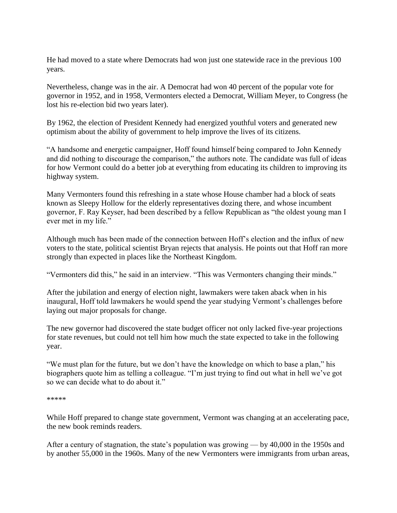He had moved to a state where Democrats had won just one statewide race in the previous 100 years.

Nevertheless, change was in the air. A Democrat had won 40 percent of the popular vote for governor in 1952, and in 1958, Vermonters elected a Democrat, William Meyer, to Congress (he lost his re-election bid two years later).

By 1962, the election of President Kennedy had energized youthful voters and generated new optimism about the ability of government to help improve the lives of its citizens.

"A handsome and energetic campaigner, Hoff found himself being compared to John Kennedy and did nothing to discourage the comparison," the authors note. The candidate was full of ideas for how Vermont could do a better job at everything from educating its children to improving its highway system.

Many Vermonters found this refreshing in a state whose House chamber had a block of seats known as Sleepy Hollow for the elderly representatives dozing there, and whose incumbent governor, F. Ray Keyser, had been described by a fellow Republican as "the oldest young man I ever met in my life."

Although much has been made of the connection between Hoff"s election and the influx of new voters to the state, political scientist Bryan rejects that analysis. He points out that Hoff ran more strongly than expected in places like the Northeast Kingdom.

"Vermonters did this," he said in an interview. "This was Vermonters changing their minds."

After the jubilation and energy of election night, lawmakers were taken aback when in his inaugural, Hoff told lawmakers he would spend the year studying Vermont's challenges before laying out major proposals for change.

The new governor had discovered the state budget officer not only lacked five-year projections for state revenues, but could not tell him how much the state expected to take in the following year.

"We must plan for the future, but we don"t have the knowledge on which to base a plan," his biographers quote him as telling a colleague. "I'm just trying to find out what in hell we've got so we can decide what to do about it."

#### \*\*\*\*\*

While Hoff prepared to change state government, Vermont was changing at an accelerating pace, the new book reminds readers.

After a century of stagnation, the state's population was growing — by 40,000 in the 1950s and by another 55,000 in the 1960s. Many of the new Vermonters were immigrants from urban areas,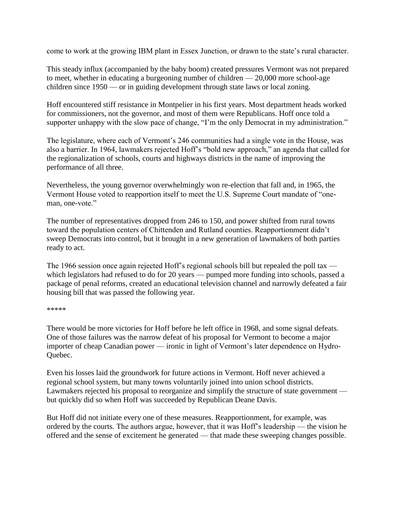come to work at the growing IBM plant in Essex Junction, or drawn to the state"s rural character.

This steady influx (accompanied by the baby boom) created pressures Vermont was not prepared to meet, whether in educating a burgeoning number of children — 20,000 more school-age children since 1950 — or in guiding development through state laws or local zoning.

Hoff encountered stiff resistance in Montpelier in his first years. Most department heads worked for commissioners, not the governor, and most of them were Republicans. Hoff once told a supporter unhappy with the slow pace of change, "I'm the only Democrat in my administration."

The legislature, where each of Vermont's 246 communities had a single vote in the House, was also a barrier. In 1964, lawmakers rejected Hoff"s "bold new approach," an agenda that called for the regionalization of schools, courts and highways districts in the name of improving the performance of all three.

Nevertheless, the young governor overwhelmingly won re-election that fall and, in 1965, the Vermont House voted to reapportion itself to meet the U.S. Supreme Court mandate of "oneman, one-vote."

The number of representatives dropped from 246 to 150, and power shifted from rural towns toward the population centers of Chittenden and Rutland counties. Reapportionment didn"t sweep Democrats into control, but it brought in a new generation of lawmakers of both parties ready to act.

The 1966 session once again rejected Hoff's regional schools bill but repealed the poll tax which legislators had refused to do for 20 years — pumped more funding into schools, passed a package of penal reforms, created an educational television channel and narrowly defeated a fair housing bill that was passed the following year.

\*\*\*\*\*

There would be more victories for Hoff before he left office in 1968, and some signal defeats. One of those failures was the narrow defeat of his proposal for Vermont to become a major importer of cheap Canadian power — ironic in light of Vermont's later dependence on Hydro-Quebec.

Even his losses laid the groundwork for future actions in Vermont. Hoff never achieved a regional school system, but many towns voluntarily joined into union school districts. Lawmakers rejected his proposal to reorganize and simplify the structure of state government but quickly did so when Hoff was succeeded by Republican Deane Davis.

But Hoff did not initiate every one of these measures. Reapportionment, for example, was ordered by the courts. The authors argue, however, that it was Hoff"s leadership — the vision he offered and the sense of excitement he generated — that made these sweeping changes possible.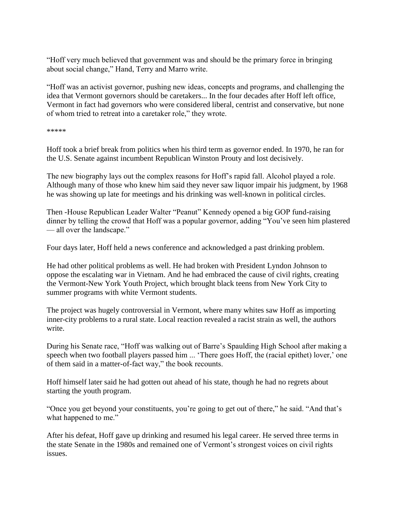"Hoff very much believed that government was and should be the primary force in bringing about social change," Hand, Terry and Marro write.

"Hoff was an activist governor, pushing new ideas, concepts and programs, and challenging the idea that Vermont governors should be caretakers... In the four decades after Hoff left office, Vermont in fact had governors who were considered liberal, centrist and conservative, but none of whom tried to retreat into a caretaker role," they wrote.

\*\*\*\*\*

Hoff took a brief break from politics when his third term as governor ended. In 1970, he ran for the U.S. Senate against incumbent Republican Winston Prouty and lost decisively.

The new biography lays out the complex reasons for Hoff"s rapid fall. Alcohol played a role. Although many of those who knew him said they never saw liquor impair his judgment, by 1968 he was showing up late for meetings and his drinking was well-known in political circles.

Then -House Republican Leader Walter "Peanut" Kennedy opened a big GOP fund-raising dinner by telling the crowd that Hoff was a popular governor, adding "You"ve seen him plastered — all over the landscape."

Four days later, Hoff held a news conference and acknowledged a past drinking problem.

He had other political problems as well. He had broken with President Lyndon Johnson to oppose the escalating war in Vietnam. And he had embraced the cause of civil rights, creating the Vermont-New York Youth Project, which brought black teens from New York City to summer programs with white Vermont students.

The project was hugely controversial in Vermont, where many whites saw Hoff as importing inner-city problems to a rural state. Local reaction revealed a racist strain as well, the authors write.

During his Senate race, "Hoff was walking out of Barre's Spaulding High School after making a speech when two football players passed him ... 'There goes Hoff, the (racial epithet) lover,' one of them said in a matter-of-fact way," the book recounts.

Hoff himself later said he had gotten out ahead of his state, though he had no regrets about starting the youth program.

"Once you get beyond your constituents, you"re going to get out of there," he said. "And that"s what happened to me."

After his defeat, Hoff gave up drinking and resumed his legal career. He served three terms in the state Senate in the 1980s and remained one of Vermont"s strongest voices on civil rights issues.